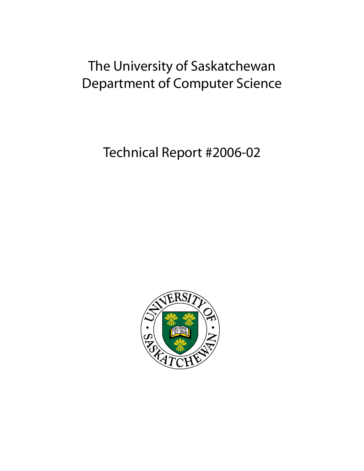# The University of Saskatchewan Department of Computer Science

Technical Report #2006-02

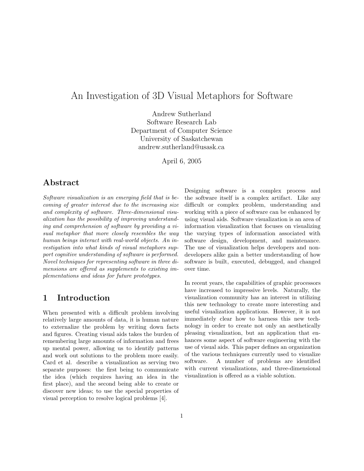# An Investigation of 3D Visual Metaphors for Software

Andrew Sutherland Software Research Lab Department of Computer Science University of Saskatchewan andrew.sutherland@usask.ca

April 6, 2005

# Abstract

Software visualization is an emerging field that is becoming of greater interest due to the increasing size and complexity of software. Three-dimensional visualization has the possibility of improving understanding and comprehension of software by providing a visual metaphor that more closely resembles the way human beings interact with real-world objects. An investigation into what kinds of visual metaphors support cognitive understanding of software is performed. Novel techniques for representing software in three dimensions are offered as supplements to existing implementations and ideas for future prototypes.

## 1 Introduction

When presented with a difficult problem involving relatively large amounts of data, it is human nature to externalize the problem by writing down facts and figures. Creating visual aids takes the burden of remembering large amounts of information and frees up mental power, allowing us to identify patterns and work out solutions to the problem more easily. Card et al. describe a visualization as serving two separate purposes: the first being to communicate the idea (which requires having an idea in the first place), and the second being able to create or discover new ideas; to use the special properties of visual perception to resolve logical problems [4].

Designing software is a complex process and the software itself is a complex artifact. Like any difficult or complex problem, understanding and working with a piece of software can be enhanced by using visual aids. Software visualization is an area of information visualization that focuses on visualizing the varying types of information associated with software design, development, and maintenance. The use of visualization helps developers and nondevelopers alike gain a better understanding of how software is built, executed, debugged, and changed over time.

In recent years, the capabilities of graphic processors have increased to impressive levels. Naturally, the visualization community has an interest in utilizing this new technology to create more interesting and useful visualization applications. However, it is not immediately clear how to harness this new technology in order to create not only an aesthetically pleasing visualization, but an application that enhances some aspect of software engineering with the use of visual aids. This paper defines an organization of the various techniques currently used to visualize software. A number of problems are identified with current visualizations, and three-dimensional visualization is offered as a viable solution.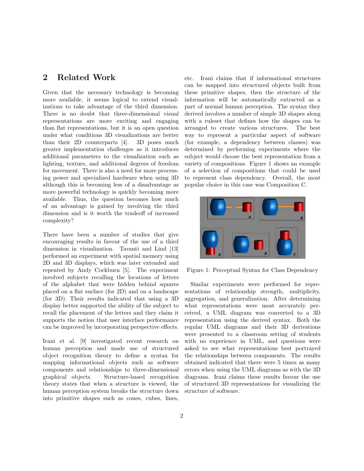# 2 Related Work

Given that the necessary technology is becoming more available, it seems logical to extend visualizations to take advantage of the third dimension. There is no doubt that three-dimensional visual representations are more exciting and engaging than flat representations, but it is an open question under what conditions 3D visualizations are better than their 2D counterparts [4]. 3D poses much greater implementation challenges as it introduces additional parameters to the visualization such as lighting, texture, and additional degrees of freedom for movement. There is also a need for more processing power and specialized hardware when using 3D although this is becoming less of a disadvantage as more powerful technology is quickly becoming more available. Thus, the question becomes how much of an advantage is gained by involving the third dimension and is it worth the tradeoff of increased complexity?

There have been a number of studies that give encouraging results in favour of the use of a third dimension in visualization. Tavanti and Lind [13] performed an experiment with spatial memory using 2D and 3D displays, which was later extended and repeated by Andy Cockburn [5]. The experiment involved subjects recalling the locations of letters of the alphabet that were hidden behind squares placed on a flat surface (for 2D) and on a landscape (for 3D). Their results indicated that using a 3D display better supported the ability of the subject to recall the placement of the letters and they claim it supports the notion that user interface performance can be improved by incorporating perspective effects.

Irani et al. [9] investigated recent research on human perception and made use of structured object recognition theory to define a syntax for mapping informational objects such as software components and relationships to three-dimensional graphical objects. Structure-based recognition theory states that when a structure is viewed, the human perception system breaks the structure down into primitive shapes such as cones, cubes, lines,

etc. Irani claims that if informational structures can be mapped into structured objects built from these primitive shapes, then the structure of the information will be automatically extracted as a part of normal human perception. The syntax they derived involves a number of simple 3D shapes along with a ruleset that defines how the shapes can be arranged to create various structures. The best way to represent a particular aspect of software (for example, a dependency between classes) was determined by performing experiments where the subject would choose the best representation from a variety of compositions. Figure 1 shows an example of a selection of compositions that could be used to represent class dependency. Overall, the most popular choice in this case was Composition C.



Figure 1: Perceptual Syntax for Class Dependency

Similar experiments were performed for representations of relationship strength, multiplicity, aggregation, and generalization. After determining what representations were most accurately perceived, a UML diagram was converted to a 3D representation using the derived syntax. Both the regular UML diagrams and their 3D derivations were presented to a classroom setting of students with no experience in UML, and questions were asked to see what representations best portrayed the relationships between components. The results obtained indicated that there were 5 times as many errors when using the UML diagrams as with the 3D diagrams. Irani claims these results favour the use of structured 3D representations for visualizing the structure of software.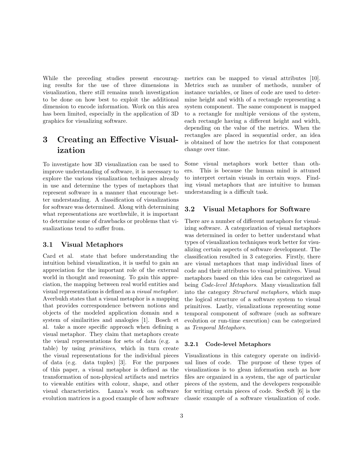While the preceding studies present encouraging results for the use of three dimensions in visualization, there still remains much investigation to be done on how best to exploit the additional dimension to encode information. Work on this area has been limited, especially in the application of 3D graphics for visualizing software.

# 3 Creating an Effective Visualization

To investigate how 3D visualization can be used to improve understanding of software, it is necessary to explore the various visualization techniques already in use and determine the types of metaphors that represent software in a manner that encourage better understanding. A classification of visualizations for software was determined. Along with determining what representations are worthwhile, it is important to determine some of drawbacks or problems that visualizations tend to suffer from.

#### 3.1 Visual Metaphors

Card et al. state that before understanding the intuition behind visualization, it is useful to gain an appreciation for the important role of the external world in thought and reasoning. To gain this appreciation, the mapping between real world entities and visual representations is defined as a visual metaphor. Averbukh states that a visual metaphor is a mapping that provides correspondence between notions and objects of the modeled application domain and a system of similarities and analogies [1]. Bosch et al. take a more specific approach when defining a visual metaphor. They claim that metaphors create the visual representations for sets of data (e.g. a table) by using primitives, which in turn create the visual representations for the individual pieces of data (e.g. data tuples) [3]. For the purposes of this paper, a visual metaphor is defined as the transformation of non-physical artifacts and metrics to viewable entities with colour, shape, and other visual characteristics. Lanza's work on software evolution matrices is a good example of how software metrics can be mapped to visual attributes [10]. Metrics such as number of methods, number of instance variables, or lines of code are used to determine height and width of a rectangle representing a system component. The same component is mapped to a rectangle for multiple versions of the system, each rectangle having a different height and width, depending on the value of the metrics. When the rectangles are placed in sequential order, an idea is obtained of how the metrics for that component change over time.

Some visual metaphors work better than others. This is because the human mind is attuned to interpret certain visuals in certain ways. Finding visual metaphors that are intuitive to human understanding is a difficult task.

#### 3.2 Visual Metaphors for Software

There are a number of different metaphors for visualizing software. A categorization of visual metaphors was determined in order to better understand what types of visualization techniques work better for visualizing certain aspects of software development. The classification resulted in 3 categories. Firstly, there are visual metaphors that map individual lines of code and their attributes to visual primitives. Visual metaphors based on this idea can be categorized as being Code-level Metaphors. Many visualization fall into the category Structural metaphors, which map the logical structure of a software system to visual primitives. Lastly, visualizations representing some temporal component of software (such as software evolution or run-time execution) can be categorized as Temporal Metaphors.

#### 3.2.1 Code-level Metaphors

Visualizations in this category operate on individual lines of code. The purpose of these types of visualizations is to glean information such as how files are organized in a system, the age of particular pieces of the system, and the developers responsible for writing certain pieces of code. SeeSoft [6] is the classic example of a software visualization of code.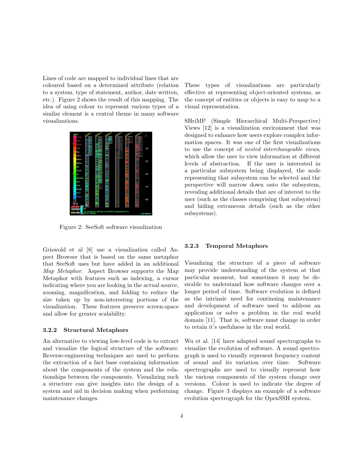Lines of code are mapped to individual lines that are coloured based on a determined attribute (relation to a system, type of statement, author, date written, etc.). Figure 2 shows the result of this mapping. The idea of using colour to represent various types of a similar element is a central theme in many software visualizations.



Figure 2: SeeSoft software visualization

Griswold et al [8] use a visualization called Aspect Browser that is based on the same metaphor that SeeSoft uses but have added in an additional Map Metaphor. Aspect Browser supports the Map Metaphor with features such as indexing, a cursor indicating where you are looking in the actual source, zooming, magnification, and folding to reduce the size taken up by non-interesting portions of the visualization. These features preserve screen-space and allow for greater scalability.

#### 3.2.2 Structural Metaphors

An alternative to viewing low-level code is to extract and visualize the logical structure of the software. Reverse-engineering techniques are used to perform the extraction of a fact base containing information about the components of the system and the relationships between the components. Visualizing such a structure can give insights into the design of a system and aid in decision making when performing maintenance changes.

These types of visualizations are particularly effective at representing object-oriented systems, as the concept of entities or objects is easy to map to a visual representation.

SHriMP (Simple Hierarchical Multi-Perspective) Views [12] is a visualization environment that was designed to enhance how users explore complex information spaces. It was one of the first visualizations to use the concept of nested interchangeable views, which allow the user to view information at different levels of abstraction. If the user is interested in a particular subsystem being displayed, the node representing that subsystem can be selected and the perspective will narrow down onto the subsystem, revealing additional details that are of interest to the user (such as the classes comprising that subsystem) and hiding extraneous details (such as the other subsystems).

#### 3.2.3 Temporal Metaphors

Visualizing the structure of a piece of software may provide understanding of the system at that particular moment, but sometimes it may be desirable to understand how software changes over a longer period of time. Software evolution is defined as the intrinsic need for continuing maintenance and development of software used to address an application or solve a problem in the real world domain [11]. That is, software must change in order to retain it's usefulness in the real world.

Wu et al. [14] have adapted sound spectrographs to visualize the evolution of software. A sound spectrograph is used to visually represent frequency content of sound and its variation over time. Software spectrographs are used to visually represent how the various components of the system change over versions. Colour is used to indicate the degree of change. Figure 3 displays an example of a software evolution spectrograph for the OpenSSH system.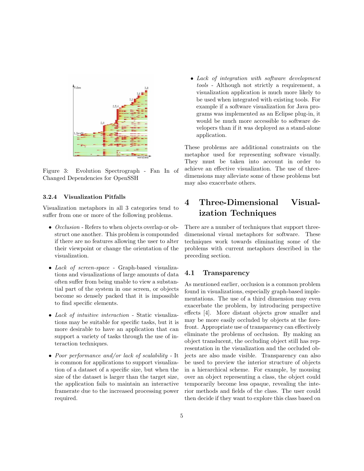

Figure 3: Evolution Spectrograph - Fan In of Changed Dependencies for OpenSSH

#### 3.2.4 Visualization Pitfalls

Visualization metaphors in all 3 categories tend to suffer from one or more of the following problems.

- Occlusion Refers to when objects overlap or obstruct one another. This problem is compounded if there are no features allowing the user to alter their viewpoint or change the orientation of the visualization.
- Lack of screen-space Graph-based visualizations and visualizations of large amounts of data often suffer from being unable to view a substantial part of the system in one screen, or objects become so densely packed that it is impossible to find specific elements.
- Lack of intuitive interaction Static visualizations may be suitable for specific tasks, but it is more desirable to have an application that can support a variety of tasks through the use of interaction techniques.
- Poor performance and/or lack of scalability It is common for applications to support visualization of a dataset of a specific size, but when the size of the dataset is larger than the target size, the application fails to maintain an interactive framerate due to the increased processing power required.

• Lack of integration with software development tools - Although not strictly a requirement, a visualization application is much more likely to be used when integrated with existing tools. For example if a software visualization for Java programs was implemented as an Eclipse plug-in, it would be much more accessible to software developers than if it was deployed as a stand-alone application.

These problems are additional constraints on the metaphor used for representing software visually. They must be taken into account in order to achieve an effective visualization. The use of threedimensions may alleviate some of these problems but may also exacerbate others.

# 4 Three-Dimensional Visualization Techniques

There are a number of techniques that support threedimensional visual metaphors for software. These techniques work towards eliminating some of the problems with current metaphors described in the preceding section.

#### 4.1 Transparency

As mentioned earlier, occlusion is a common problem found in visualizations, especially graph-based implementations. The use of a third dimension may even exacerbate the problem, by introducing perspective effects [4]. More distant objects grow smaller and may be more easily occluded by objects at the forefront. Appropriate use of transparency can effectively eliminate the problems of occlusion. By making an object translucent, the occluding object still has representation in the visualization and the occluded objects are also made visible. Transparency can also be used to preview the interior structure of objects in a hierarchical scheme. For example, by mousing over an object representing a class, the object could temporarily become less opaque, revealing the interior methods and fields of the class. The user could then decide if they want to explore this class based on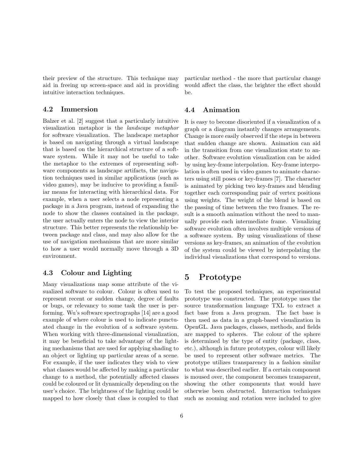their preview of the structure. This technique may aid in freeing up screen-space and aid in providing intuitive interaction techniques.

### 4.2 Immersion

Balzer et al. [2] suggest that a particularly intuitive visualization metaphor is the landscape metaphor for software visualization. The landscape metaphor is based on navigating through a virtual landscape that is based on the hierarchical structure of a software system. While it may not be useful to take the metaphor to the extremes of representing software components as landscape artifacts, the navigation techniques used in similar applications (such as video games), may be inducive to providing a familiar means for interacting with hierarchical data. For example, when a user selects a node representing a package in a Java program, instead of expanding the node to show the classes contained in the package, the user actually enters the node to view the interior structure. This better represents the relationship between package and class, and may also allow for the use of navigation mechanisms that are more similar to how a user would normally move through a 3D environment.

#### 4.3 Colour and Lighting

Many visualizations map some attribute of the visualized software to colour. Colour is often used to represent recent or sudden change, degree of faults or bugs, or relevancy to some task the user is performing. Wu's software spectrographs [14] are a good example of where colour is used to indicate punctuated change in the evolution of a software system. When working with three-dimensional visualization, it may be beneficial to take advantage of the lighting mechanisms that are used for applying shading to an object or lighting up particular areas of a scene. For example, if the user indicates they wish to view what classes would be affected by making a particular change to a method, the potentially affected classes could be coloured or lit dynamically depending on the user's choice. The brightness of the lighting could be mapped to how closely that class is coupled to that particular method - the more that particular change would affect the class, the brighter the effect should be.

#### 4.4 Animation

It is easy to become disoriented if a visualization of a graph or a diagram instantly changes arrangements. Change is more easily observed if the steps in between that sudden change are shown. Animation can aid in the transition from one visualization state to another. Software evolution visualization can be aided by using key-frame interpolation. Key-frame interpolation is often used in video games to animate characters using still poses or key-frames [7]. The character is animated by picking two key-frames and blending together each corresponding pair of vertex positions using weights. The weight of the blend is based on the passing of time between the two frames. The result is a smooth animation without the need to manually provide each intermediate frame. Visualizing software evolution often involves multiple versions of a software system. By using visualizations of these versions as key-frames, an animation of the evolution of the system could be viewed by interpolating the individual visualizations that correspond to versions.

### 5 Prototype

To test the proposed techniques, an experimental prototype was constructed. The prototype uses the source transformation language TXL to extract a fact base from a Java program. The fact base is then used as data in a graph-based visualization in OpenGL. Java packages, classes, methods, and fields are mapped to spheres. The colour of the sphere is determined by the type of entity (package, class, etc.), although in future prototypes, colour will likely be used to represent other software metrics. The prototype utilizes transparency in a fashion similar to what was described earlier. If a certain component is moused over, the component becomes transparent, showing the other components that would have otherwise been obstructed. Interaction techniques such as zooming and rotation were included to give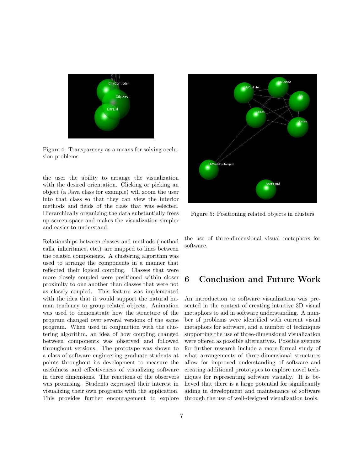

Figure 4: Transparency as a means for solving occlusion problems

the user the ability to arrange the visualization with the desired orientation. Clicking or picking an object (a Java class for example) will zoom the user into that class so that they can view the interior methods and fields of the class that was selected. Hierarchically organizing the data substantially frees up screen-space and makes the visualization simpler and easier to understand.

Relationships between classes and methods (method calls, inheritance, etc.) are mapped to lines between the related components. A clustering algorithm was used to arrange the components in a manner that reflected their logical coupling. Classes that were more closely coupled were positioned within closer proximity to one another than classes that were not as closely coupled. This feature was implemented with the idea that it would support the natural human tendency to group related objects. Animation was used to demonstrate how the structure of the program changed over several versions of the same program. When used in conjunction with the clustering algorithm, an idea of how coupling changed between components was observed and followed throughout versions. The prototype was shown to a class of software engineering graduate students at points throughout its development to measure the usefulness and effectiveness of visualizing software in three dimensions. The reactions of the observers was promising. Students expressed their interest in visualizing their own programs with the application. This provides further encouragement to explore



Figure 5: Positioning related objects in clusters

the use of three-dimensional visual metaphors for software.

### 6 Conclusion and Future Work

An introduction to software visualization was presented in the context of creating intuitive 3D visual metaphors to aid in software understanding. A number of problems were identified with current visual metaphors for software, and a number of techniques supporting the use of three-dimensional visualization were offered as possible alternatives. Possible avenues for further research include a more formal study of what arrangements of three-dimensional structures allow for improved understanding of software and creating additional prototypes to explore novel techniques for representing software visually. It is believed that there is a large potential for significantly aiding in development and maintenance of software through the use of well-designed visualization tools.